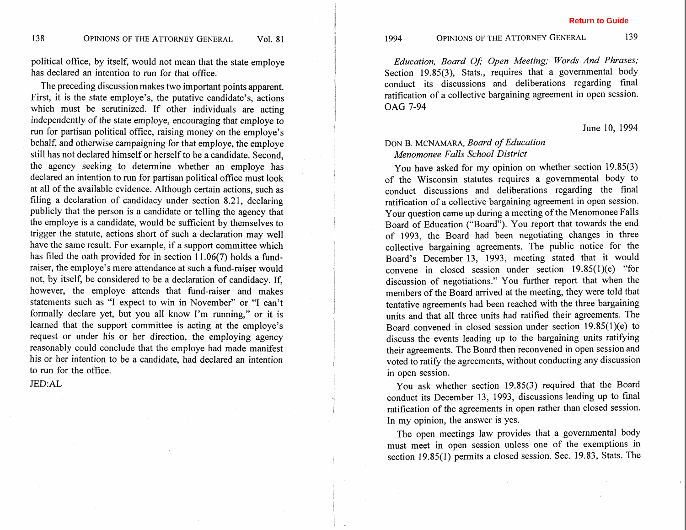political office, by itself, would not mean that the state employe has declared an intention to run for that office.

The preceding discussion makes two important points apparent. First, it is the state employe's, the putative candidate's, actions which must be scrutinized. If other individuals are acting independently of the state employe, encouraging that employe to run for partisan political office, raising money on the employe's behalf, and otherwise campaigning for that employe, the employe still has not declared himself or herself to be a candidate. Second, the agency seeking to determine whether an employe has declared an intention to run for partisan political office must look at all of the available evidence. Although certain actions, such as filing a declaration of candidacy under section 8.21, declaring publicly that the person is a candidate or telling the agency that the employe is a candidate, would be sufficient by themselves to trigger the statute, actions short of such a declaration may well have the same result. For example, if a support committee which has filed the oath provided for in section 11.06(7) holds a fundraiser, the employe's mere attendance at such a fund-raiser would not, by itself, be considered to be a declaration of candidacy. If, however, the employe attends that fund-raiser and makes statements such as "I expect to win in November" or "I can't formally declare yet, but you all know I'm running," or it is learned that the support committee is acting at the employe's request or under his or her direction, the employing agency reasonably could conclude that the employe had made manifest his or her intention to be a candidate, had declared an intention to run for the office.

**JED:AL** 

139

*Education, Board Of; Open Meeting; Words And Phrases;* Section 19.85(3), Stats., requires that a governmental body conduct its discussions and deliberations regarding final ratification of a collective bargaining agreement in open session. OAG 7-94

June 10, 1994

## DON B. MCNAMARA, *Board of Education Menomonee Falls School District*

You have asked for my opinion on whether section 19.85(3) of the Wisconsin statutes requires a governmental body to conduct discussions and deliberations regarding the final ratification of a collective bargaining agreement in open session. Your question came up during a meeting of the Menomonee Falls Board of Education ("Board"). You report that towards the end of 1993, the Board had been negotiating changes in three collective bargaining agreements. The public notice for the Board's December 13, 1993, meeting stated that it would convene in closed session under section 19.85(1)(e) "for discussion of negotiations." You further report that when the members of the Board arrived at the meeting, they were told that tentative agreements had been reached with the three bargaining units and that all three units had ratified their agreements. The Board convened in closed session under section 19,85(1)(e) to discuss the events leading up to the bargaining units ratifying their agreements. The Board then reconvened in open session and voted to ratify the agreements, without conducting any discussion in open session.

You ask whether section 19.85(3) required that the Board conduct its December 13, 1993, discussions leading up to final ratification of the agreements in open rather than closed session. In my opinion, the answer is yes.

The open meetings law provides that a governmental body must meet in open session unless one of the exemptions in section 19.85(1) permits a closed session. Sec. 19.83, Stats. The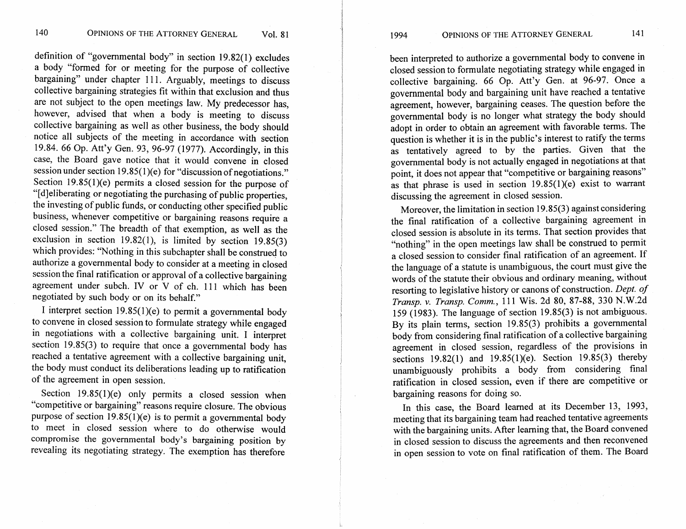definition of "governmental body" in section 19.82(1) excludes a body "formed for or meeting for the purpose of collective bargaining" under chapter 111. Arguably, meetings to discuss collective bargaining strategies fit within that exclusion and thus are not subject to the open meetings law. My predecessor has, however, advised that when a body is meeting to discuss collective bargaining as well as other business, the body should notice all subjects of the meeting in accordance with section 19.84. 66 Op. Att'y Gen. 93, 96-97 (1977). Accordingly, in this case, the Board gave notice that it would convene in closed session under section 19.85(1)(e) for "discussion of negotiations." Section 19.85(1)(e) permits a closed session for the purpose of "[dleliberating or negotiating the purchasing of public properties, the investing of public funds, or conducting other specified public business, whenever competitive or bargaining reasons require a closed session." The breadth of that exemption, as well as the exclusion in section 19.82(1), is limited by section  $19.85(3)$ which provides: "Nothing in this subchapter shall be construed to authorize a governmental body to consider at a meeting in closed session the final ratification or approval of a collective bargaining agreement under subch. IV or  $V$  of ch. 111 which has been negotiated by such body or on its behalf."

I interpret section  $19.85(1)(e)$  to permit a governmental body to convene in closed session to formulate strategy while engaged in negotiations with a collective bargaining unit. I interpret section 19.85(3) to require that once a governmental body has reached a tentative agreement with a collective bargaining unit, the body must conduct its deliberations leading up to ratification of the agreement in open session.

Section 19.85(1)(e) only permits a closed session when "competitive or bargaining" reasons require closure. The obvious purpose of section  $19.85(1)(e)$  is to permit a governmental body to meet in closed session where to do otherwise would compromise the governmental body's bargaining position by revealing its negotiating strategy. The exemption has therefore

been interpreted to authorize a governmental body to convene in closed session to formulate negotiating strategy while engaged in collective bargaining. 66 Op. Att'y Gen. at 96-97. Once a governmental body and bargaining unit have reached a tentative agreement, however, bargaining ceases. The question before the governmental body is no longer what strategy the body should adopt in order to obtain an agreement with favorable terms. The question is whether it is in the public's interest to ratify the terms as tentatively agreed to by the parties. Given that the governmental body is not actually engaged in negotiations at that point, it does not appear that "competitive or bargaining reasons" as that phrase is used in section  $19.85(1)(e)$  exist to warrant discussing the agreement in closed session.

Moreover, the limitation in section 19.85(3) against considering the final ratification of a collective bargaining agreement in closed session is absolute in its terms. That section provides that "nothing" in the open meetings law shall be construed to permit a closed session to consider final ratification of an agreement. If the language of a statute is unambiguous, the court must give the words of the statute their obvious and ordinary meaning, without resorting to legislative history or canons of construction. *Dept. of trans^.* v. *Transp. Comm.,* 11 1 Wis. 2d 80, 87-88, 330 N.W.2d **<sup>A</sup>** 159 (1983). The language of section 19.85(3) is not ambiguous. By its plain terms, section 19.85(3) prohibits a governmental body from considering final ratification of a collective bargaining agreement in closed session, regardless of the provisions in sections 19.82(1) and 19.85(1)(e). Section 19.85(3) thereby unambiguously prohibits a body from considering final ratification in closed session, even if there are competitive or bargaining reasons for doing so.

In this case, the Board learned at its December 13, 1993, meeting that its bargaining team had reached tentative agreements with the bargaining units. After learning that, the Board convened in closed session to discuss the agreements and then reconvened in open session to vote on final ratification of them. The Board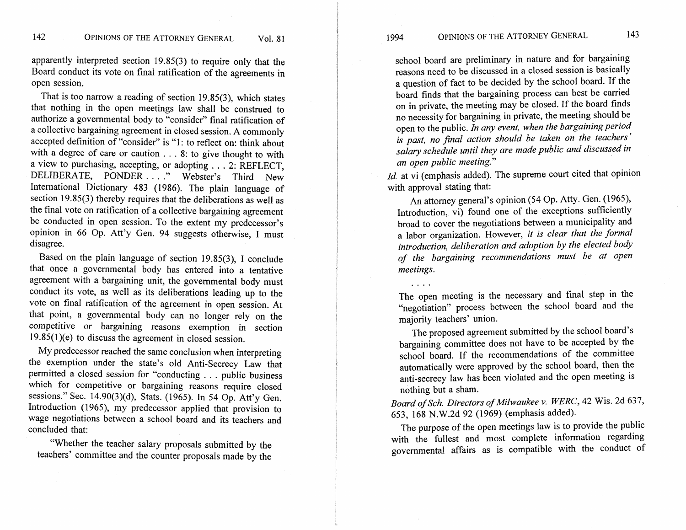apparently interpreted section 19.85(3) to require only that the Board conduct its vote on final ratification of the agreements in open session.

That is too narrow a reading of section 19.85(3), which states that nothing in the open meetings law shall be construed to authorize a governmental body to "consider" final ratification of a collective bargaining agreement in closed session. A commonly accepted definition of "consider" is "1: to reflect on: think about with a degree of care or caution . . . 8: to give thought to with a view to purchasing, accepting, or adopting  $\dots$  2: REFLECT, DELIBERATE, PONDER . . . ." Webster's Third New International Dictionary 483 (1986). The plain language of section 19.85(3) thereby requires that the deliberations as well as the final vote on ratification of a collective bargaining agreement be conducted in open session. To the extent my predecessor's opinion in 66 Op. Att'y Gen. 94 suggests otherwise, I must disagree.

Based on the plain language of section 19.85(3), I conclude that once a governmental body has entered into a tentative agreement with a bargaining unit, the governmental body must conduct its vote, as well as its deliberations leading up to the vote on final ratification of the agreement in open session. At that point, a governmental body can no longer rely on the competitive or bargaining reasons exemption in section 19.85(1)(e) to discuss the agreement in closed session.

My predecessor reached the same conclusion when interpreting the exemption under the state's old Anti-Secrecy Law that permitted a closed session for "conducting . . . public business which for competitive or bargaining reasons require closed sessions." Sec. 14.90(3)(d), Stats. (1965). In 54 Op. Att'y Gen. Introduction (1965), my predecessor applied that provision to wage negotiations between a school board and its teachers and concluded that:

"Whether the teacher salary proposals submitted by the teachers' committee and the counter proposals made by the OPINIONS OF THE ATTORNEY GENERAL

!

1994

I

I

I

....

school board are preliminary in nature and for bargaining reasons need to be discussed in a closed session is basically a question of fact to be decided by the school board. If the board finds that the bargaining process can best be carried **<sup>i</sup>** on in private, the meeting may be closed. If the board finds no necessity for bargaining in private, the meeting should be open to the public. In any event, when the bargaining period <sup>I</sup>open to the public. *In any event, when the bargaining period*  I *is past, no final action should be taken on the teachers* ' salary schedule until they are made public and discussed in an open public meeting." I *an open public meeting."* 

*Id.* at vi (emphasis added). The supreme court cited that opinion with approval stating that:

An attorney general's opinion (54 Op. Atty. Gen. (1965), Introduction, vi) found one of the exceptions sufficiently broad to cover the negotiations between a municipality and a labor organization. However, *it is clear that the formal*  1 *introduction, deliberation and adoption by the elected body* 1 *of the bargaining recommendations must be at open* **<sup>1</sup>***meetings.* 

The open meeting is the necessary and final step in the "negotiation" process between the school board and the majority teachers' union.

The proposed agreement submitted by the school board's bargaining committee does not have to be accepted by the school board. If the recommendations of the committee automatically were approved by the school board, then the anti-secrecy law has been violated and the open meeting is nothing but a sham.

Board of Sch. Directors of Milwaukee v. WERC, 42 Wis. 2d 637, 653, 168 N.W.2d 92 (1969) (emphasis added).

The purpose of the open meetings law is to provide the public with the fullest and most complete information regarding governmental affairs as is compatible with the conduct of